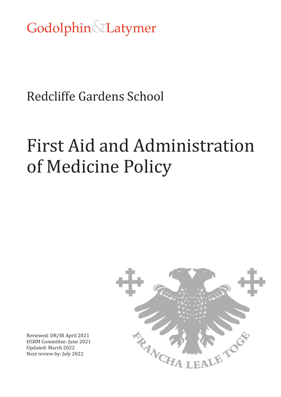Godolphin&Latymer

# Redcliffe Gardens School

# First Aid and Administration of Medicine Policy



Reviewed: DR/IR April 2021 HSRM Committee: June 2021 Updated: March 2022 Next review by: July 2022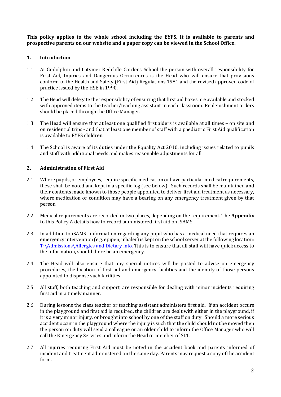**This policy applies to the whole school including the EYFS. It is available to parents and prospective parents on our website and a paper copy can be viewed in the School Office.**

#### **1. Introduction**

- 1.1. At Godolphin and Latymer Redcliffe Gardens School the person with overall responsibility for First Aid, Injuries and Dangerous Occurrences is the Head who will ensure that provisions conform to the Health and Safety (First Aid) Regulations 1981 and the revised approved code of practice issued by the HSE in 1990.
- 1.2. The Head will delegate the responsibility of ensuring that first aid boxes are available and stocked with approved items to the teacher/teaching assistant in each classroom. Replenishment orders should be placed through the Office Manager.
- 1.3. The Head will ensure that at least one qualified first aiders is available at all times on site and on residential trips - and that at least one member of staff with a paediatric First Aid qualification is available to EYFS children.
- 1.4. The School is aware of its duties under the Equality Act 2010, including issues related to pupils and staff with additional needs and makes reasonable adjustments for all.

#### **2. Administration of First Aid**

- 2.1. Where pupils, or employees, require specific medication or have particular medical requirements, these shall be noted and kept in a specific log (see below). Such records shall be maintained and their contents made known to those people appointed to deliver first aid treatment as necessary, where medication or condition may have a bearing on any emergency treatment given by that person.
- 2.2. Medical requirements are recorded in two places, depending on the requirement. The **Appendix** to this Policy A details how to record administered first aid on iSAMS.
- 2.3. In addition to iSAMS , information regarding any pupil who has a medical need that requires an emergency intervention (e.g. epipen, inhaler) is kept on the school server at the following location: T:\Admissions\Allergies and Dietary info. This is to ensure that all staff will have quick access to the information, should there be an emergency.
- 2.4. The Head will also ensure that any special notices will be posted to advise on emergency procedures, the location of first aid and emergency facilities and the identity of those persons appointed to dispense such facilities.
- 2.5. All staff, both teaching and support, are responsible for dealing with minor incidents requiring first aid in a timely manner.
- 2.6. During lessons the class teacher or teaching assistant administers first aid. If an accident occurs in the playground and first aid is required, the children are dealt with either in the playground, if it is a very minor injury, or brought into school by one of the staff on duty. Should a more serious accident occur in the playground where the injury is such that the child should not be moved then the person on duty will send a colleague or an older child to inform the Office Manager who will call the Emergency Services and inform the Head or member of SLT.
- 2.7. All injuries requiring First Aid must be noted in the accident book and parents informed of incident and treatment administered on the same day. Parents may request a copy of the accident form.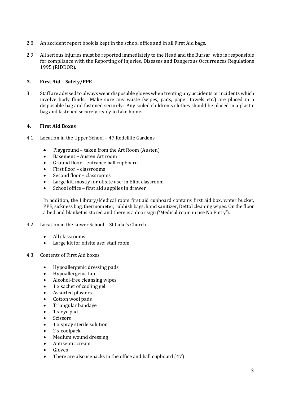- 2.8. An accident report book is kept in the school office and in all First Aid bags.
- 2.9. All serious injuries must be reported immediately to the Head and the Bursar, who is responsible for compliance with the Reporting of Injuries, Diseases and Dangerous Occurrences Regulations 1995 (RIDDOR).

## **3. First Aid – Safety/PPE**

3.1. Staff are advised to always wear disposable gloves when treating any accidents or incidents which involve body fluids. Make sure any waste (wipes, pads, paper towels etc.) are placed in a disposable bag and fastened securely. Any soiled children's clothes should be placed in a plastic bag and fastened securely ready to take home.

#### **4. First Aid Boxes**

- 4.1. Location in the Upper School 47 Redcliffe Gardens
	- Playground taken from the Art Room (Austen)<br>• Basement Austen Art room
	- Basement Austen Art room<br>• Ground floor entrance hall o
	- Ground floor entrance hall cupboard
	- First floor classrooms
	- Second floor classrooms
	- Large kit, mostly for offsite use: in Eliot classroom
	- School office first aid supplies in drawer

In addition, the Library/Medical room first aid cupboard contains first aid box, water bucket, PPE, sickness bag, thermometer, rubbish bags, hand sanitizer, Dettol cleaning wipes. On the floor a bed and blanket is stored and there is a door sign ('Medical room in use No Entry').

- 4.2. Location in the Lower School St Luke's Church
	- All classrooms
	- Large kit for offsite use: staff room
- 4.3. Contents of First Aid boxes
	- Hypoallergenic dressing pads
	- Hypoallergenic tap
	- Alcohol-free cleansing wipes
	- 1 x sachet of cooling gel
	- Assorted plasters
	- Cotton wool pads
	- Triangular bandage
	- 1 x eye pad
	- Scissors
	- 1 x spray sterile solution
	- 2 x coolpack
	- Medium wound dressing
	- Antiseptic cream
	- **Gloves**
	- There are also icepacks in the office and hall cupboard (47)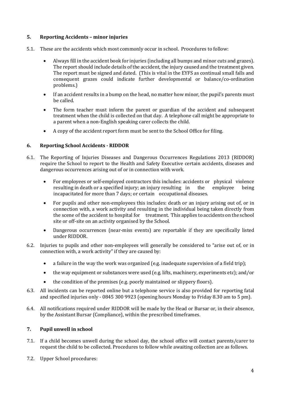## **5. Reporting Accidents – minor injuries**

- 5.1. These are the accidents which most commonly occur in school. Procedures to follow:
	- Always fill in the accident book for injuries (including all bumps and minor cuts and grazes). The report should include details of the accident, the injury caused and the treatment given. The report must be signed and dated. (This is vital in the EYFS as continual small falls and consequent grazes could indicate further developmental or balance/co-ordination problems.)
	- If an accident results in a bump on the head, no matter how minor, the pupil's parents must be called.
	- The form teacher must inform the parent or guardian of the accident and subsequent treatment when the child is collected on that day. A telephone call might be appropriate to a parent when a non-English speaking carer collects the child.
	- A copy of the accident report form must be sent to the School Office for filing.

# **6. Reporting School Accidents - RIDDOR**

- 6.1. The Reporting of Injuries Diseases and Dangerous Occurrences Regulations 2013 (RIDDOR) require the School to report to the Health and Safety Executive certain accidents, diseases and dangerous occurrences arising out of or in connection with work.
	- For employees or self-employed contractors this includes: accidents or physical violence resulting in death or a specified injury; an injury resulting in the employee being resulting in death or a specified injury; an injury resulting in incapacitated for more than 7 days; or certain occupational diseases.
	- For pupils and other non-employees this includes: death or an injury arising out of, or in connection with, a work activity and resulting in the individual being taken directly from the scene of the accident to hospital for treatment. This applies to accidents on the school site or off-site on an activity organised by the School.
	- Dangerous occurrences (near-miss events) are reportable if they are specifically listed under RIDDOR.
- 6.2. Injuries to pupils and other non-employees will generally be considered to "arise out of, or in connection with, a work activity" if they are caused by:
	- a failure in the way the work was organized (e.g. inadequate supervision of a field trip);
	- the way equipment or substances were used (e.g. lifts, machinery, experiments etc); and/or
	- the condition of the premises (e.g. poorly maintained or slippery floors).
- 6.3. All incidents can be reported online but a telephone service is also provided for reporting fatal and specified injuries only - 0845 300 9923 (opening hours Monday to Friday 8.30 am to 5 pm).
- 6.4. All notifications required under RIDDOR will be made by the Head or Bursar or, in their absence, by the Assistant Bursar (Compliance), within the prescribed timeframes.

# **7. Pupil unwell in school**

- 7.1. If a child becomes unwell during the school day, the school office will contact parents/carer to request the child to be collected. Procedures to follow while awaiting collection are as follows.
- 7.2. Upper School procedures: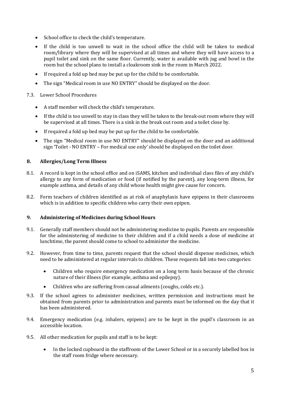- School office to check the child's temperature.
- If the child is too unwell to wait in the school office the child will be taken to medical room/library where they will be supervised at all times and where they will have access to a pupil toilet and sink on the same floor. Currently, water is available with jug and bowl in the room but the school plans to install a cloakroom sink in the room in March 2022.
- If required a fold up bed may be put up for the child to be comfortable.
- The sign "Medical room in use NO ENTRY" should be displayed on the door.

#### 7.3. Lower School Procedures

- A staff member will check the child's temperature.
- If the child is too unwell to stay in class they will be taken to the break-out room where they will be supervised at all times. There is a sink in the break out room and a toilet close by.
- If required a fold up bed may be put up for the child to be comfortable.
- The sign "Medical room in use NO ENTRY" should be displayed on the door and an additional sign 'Toilet - NO ENTRY – For medical use only' should be displayed on the toilet door.

#### **8. Allergies/Long Term Illness**

- 8.1. A record is kept in the school office and on iSAMS, kitchen and individual class files of any child's allergy to any form of medication or food (if notified by the parent), any long-term illness, for example asthma, and details of any child whose health might give cause for concern.
- 8.2. Form teachers of children identified as at risk of anaphylaxis have epipens in their classrooms which is in addition to specific children who carry their own epipen.

#### **9. Administering of Medicines during School Hours**

- 9.1. Generally staff members should not be administering medicine to pupils. Parents are responsible for the administering of medicine to their children and if a child needs a dose of medicine at lunchtime, the parent should come to school to administer the medicine.
- 9.2. However, from time to time, parents request that the school should dispense medicines, which need to be administered at regular intervals to children. These requests fall into two categories:
	- Children who require emergency medication on a long term basis because of the chronic nature of their illness (for example, asthma and epilepsy).
	- Children who are suffering from casual ailments (coughs, colds etc.).
- 9.3. If the school agrees to administer medicines, written permission and instructions must be obtained from parents prior to administration and parents must be informed on the day that it has been administered.
- 9.4. Emergency medication (e.g. inhalers, epipens) are to be kept in the pupil's classroom in an accessible location.
- 9.5. All other medication for pupils and staff is to be kept:
	- In the locked cupboard in the staffroom of the Lower School or in a securely labelled box in the staff room fridge where necessary.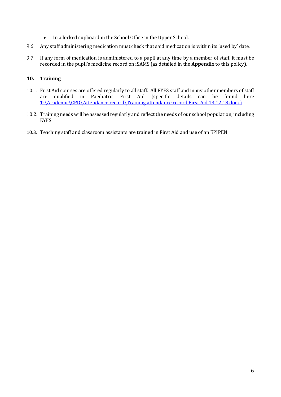- In a locked cupboard in the School Office in the Upper School.
- 9.6. Any staff administering medication must check that said medication is within its 'used by' date.
- 9.7. If any form of medication is administered to a pupil at any time by a member of staff, it must be recorded in the pupil's medicine record on iSAMS (as detailed in the **Appendix** to this policy**).**

# **10. Training**

- 10.1. First Aid courses are offered regularly to all staff. All EYFS staff and many other members of staff are qualified in Paediatric First Aid (specific details can be found here are qualified in Paediatric First Aid (specific details can be found here T:\Academic\CPD\Attendance record\Training attendance record First Aid 13 12 18.docx)
- 10.2. Training needs will be assessed regularly and reflect the needs of our school population, including EYFS.
- 10.3. Teaching staff and classroom assistants are trained in First Aid and use of an EPIPEN.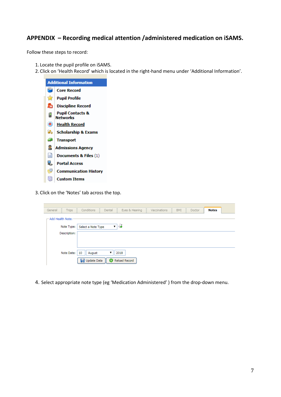# **APPENDIX – Recording medical attention /administered medication on iSAMS.**

Follow these steps to record:

- 1. Locate the pupil profile on iSAMS.
- 2. Click on 'Health Record' which is located in the right-hand menu under 'Additional Information'.



3. Click on the 'Notes' tab across the top.

| General              | Trips        | Conditions                    | Dental | Eyes & Hearing | Vaccinations | BMI | Doctor | <b>Notes</b> |  |  |
|----------------------|--------------|-------------------------------|--------|----------------|--------------|-----|--------|--------------|--|--|
| - Add Health Note: - |              |                               |        |                |              |     |        |              |  |  |
| Note Type:           |              | 48<br>Select a Note Type<br>▼ |        |                |              |     |        |              |  |  |
|                      | Description: |                               |        |                |              |     |        |              |  |  |
|                      |              |                               |        |                |              |     |        |              |  |  |
|                      | Note Date:   | 10<br>August                  | ▼      | 2018           |              |     |        |              |  |  |
|                      |              | Update Data                   |        | Reload Record  |              |     |        |              |  |  |

4. Select appropriate note type (eg 'Medication Administered' ) from the drop-down menu.